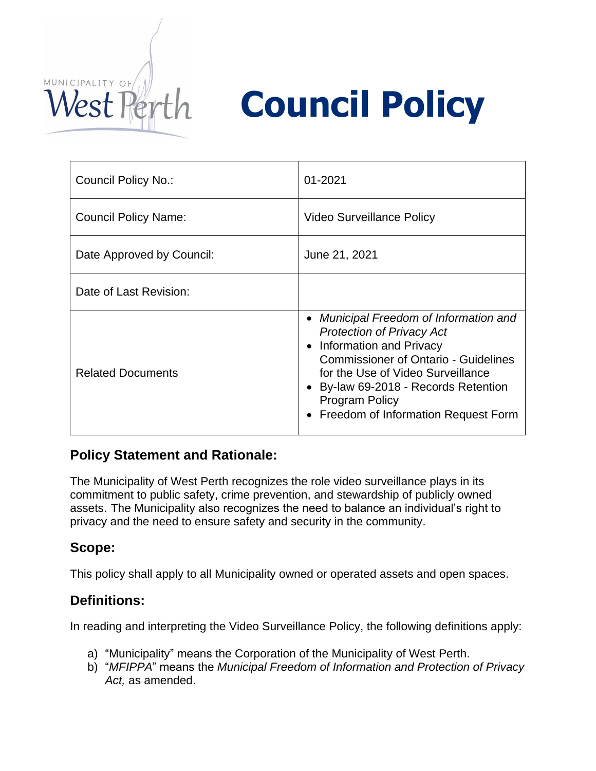

# **Council Policy**

| Council Policy No.:       | 01-2021                                                                                                                                                                                                                                                                                               |
|---------------------------|-------------------------------------------------------------------------------------------------------------------------------------------------------------------------------------------------------------------------------------------------------------------------------------------------------|
| Council Policy Name:      | Video Surveillance Policy                                                                                                                                                                                                                                                                             |
| Date Approved by Council: | June 21, 2021                                                                                                                                                                                                                                                                                         |
| Date of Last Revision:    |                                                                                                                                                                                                                                                                                                       |
| <b>Related Documents</b>  | • Municipal Freedom of Information and<br><b>Protection of Privacy Act</b><br>• Information and Privacy<br><b>Commissioner of Ontario - Guidelines</b><br>for the Use of Video Surveillance<br>• By-law 69-2018 - Records Retention<br><b>Program Policy</b><br>• Freedom of Information Request Form |

## **Policy Statement and Rationale:**

The Municipality of West Perth recognizes the role video surveillance plays in its commitment to public safety, crime prevention, and stewardship of publicly owned assets. The Municipality also recognizes the need to balance an individual's right to privacy and the need to ensure safety and security in the community.

## **Scope:**

This policy shall apply to all Municipality owned or operated assets and open spaces.

## **Definitions:**

In reading and interpreting the Video Surveillance Policy, the following definitions apply:

- a) "Municipality" means the Corporation of the Municipality of West Perth.
- b) "*MFIPPA*" means the *Municipal Freedom of Information and Protection of Privacy Act,* as amended.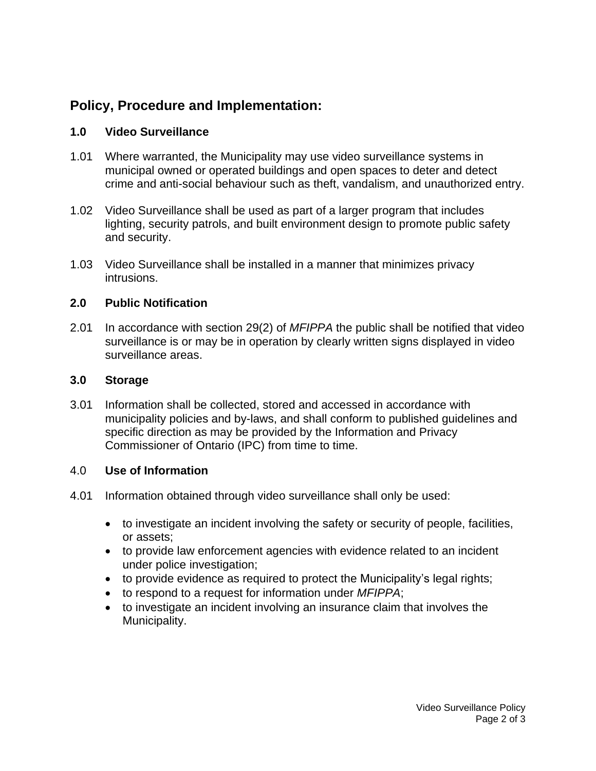# **Policy, Procedure and Implementation:**

#### **1.0 Video Surveillance**

- 1.01 Where warranted, the Municipality may use video surveillance systems in municipal owned or operated buildings and open spaces to deter and detect crime and anti-social behaviour such as theft, vandalism, and unauthorized entry.
- 1.02 Video Surveillance shall be used as part of a larger program that includes lighting, security patrols, and built environment design to promote public safety and security.
- 1.03 Video Surveillance shall be installed in a manner that minimizes privacy intrusions.

#### **2.0 Public Notification**

2.01 In accordance with section 29(2) of *MFIPPA* the public shall be notified that video surveillance is or may be in operation by clearly written signs displayed in video surveillance areas.

#### **3.0 Storage**

3.01 Information shall be collected, stored and accessed in accordance with municipality policies and by-laws, and shall conform to published guidelines and specific direction as may be provided by the Information and Privacy Commissioner of Ontario (IPC) from time to time.

#### 4.0 **Use of Information**

- 4.01 Information obtained through video surveillance shall only be used:
	- to investigate an incident involving the safety or security of people, facilities, or assets;
	- to provide law enforcement agencies with evidence related to an incident under police investigation;
	- to provide evidence as required to protect the Municipality's legal rights;
	- to respond to a request for information under *MFIPPA*;
	- to investigate an incident involving an insurance claim that involves the Municipality.